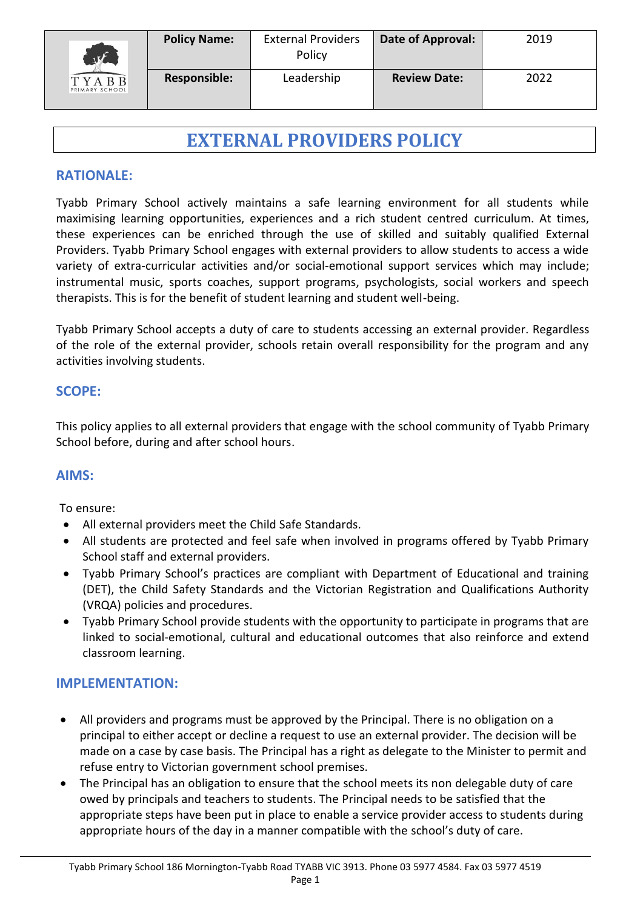

# **EXTERNAL PROVIDERS POLICY**

# **RATIONALE:**

Tyabb Primary School actively maintains a safe learning environment for all students while maximising learning opportunities, experiences and a rich student centred curriculum. At times, these experiences can be enriched through the use of skilled and suitably qualified External Providers. Tyabb Primary School engages with external providers to allow students to access a wide variety of extra-curricular activities and/or social-emotional support services which may include; instrumental music, sports coaches, support programs, psychologists, social workers and speech therapists. This is for the benefit of student learning and student well-being.

Tyabb Primary School accepts a duty of care to students accessing an external provider. Regardless of the role of the external provider, schools retain overall responsibility for the program and any activities involving students.

#### **SCOPE:**

This policy applies to all external providers that engage with the school community of Tyabb Primary School before, during and after school hours.

## **AIMS:**

To ensure:

- All external providers meet the Child Safe Standards.
- All students are protected and feel safe when involved in programs offered by Tyabb Primary School staff and external providers.
- Tyabb Primary School's practices are compliant with Department of Educational and training (DET), the Child Safety Standards and the Victorian Registration and Qualifications Authority (VRQA) policies and procedures.
- Tyabb Primary School provide students with the opportunity to participate in programs that are linked to social-emotional, cultural and educational outcomes that also reinforce and extend classroom learning.

## **IMPLEMENTATION:**

- All providers and programs must be approved by the Principal. There is no obligation on a principal to either accept or decline a request to use an external provider. The decision will be made on a case by case basis. The Principal has a right as delegate to the Minister to permit and refuse entry to Victorian government school premises.
- The Principal has an obligation to ensure that the school meets its non delegable duty of care owed by principals and teachers to students. The Principal needs to be satisfied that the appropriate steps have been put in place to enable a service provider access to students during appropriate hours of the day in a manner compatible with the school's duty of care.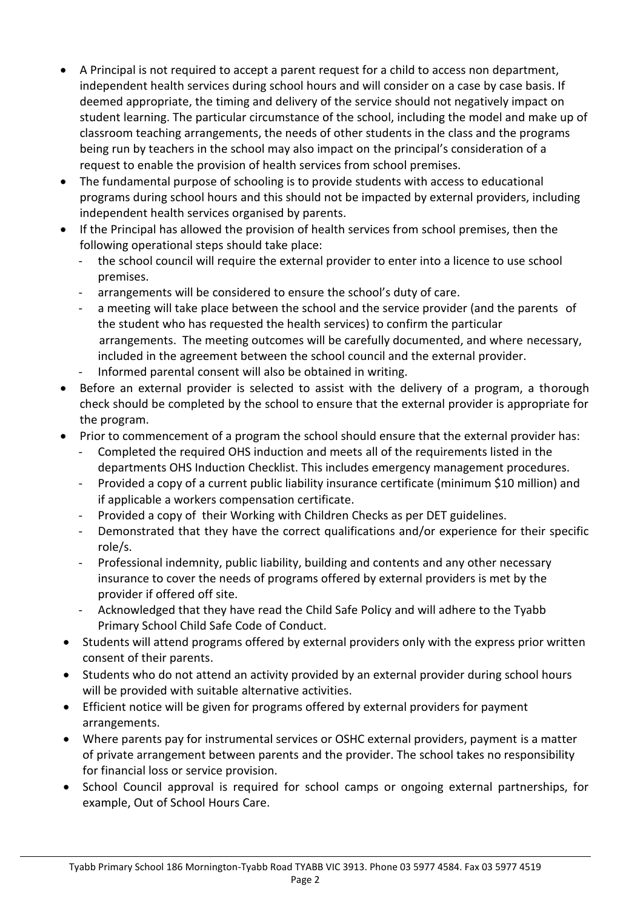- A Principal is not required to accept a parent request for a child to access non department, independent health services during school hours and will consider on a case by case basis. If deemed appropriate, the timing and delivery of the service should not negatively impact on student learning. The particular circumstance of the school, including the model and make up of classroom teaching arrangements, the needs of other students in the class and the programs being run by teachers in the school may also impact on the principal's consideration of a request to enable the provision of health services from school premises.
- The fundamental purpose of schooling is to provide students with access to educational programs during school hours and this should not be impacted by external providers, including independent health services organised by parents.
- If the Principal has allowed the provision of health services from school premises, then the following operational steps should take place:
	- the school council will require the external provider to enter into a licence to use school premises.
	- arrangements will be considered to ensure the school's duty of care.
	- a meeting will take place between the school and the service provider (and the parents of the student who has requested the health services) to confirm the particular arrangements. The meeting outcomes will be carefully documented, and where necessary, included in the agreement between the school council and the external provider.
	- Informed parental consent will also be obtained in writing.
- Before an external provider is selected to assist with the delivery of a program, a thorough check should be completed by the school to ensure that the external provider is appropriate for the program.
- Prior to commencement of a program the school should ensure that the external provider has:
	- Completed the required OHS induction and meets all of the requirements listed in the departments OHS Induction Checklist. This includes emergency management procedures.
	- Provided a copy of a current public liability insurance certificate (minimum \$10 million) and if applicable a workers compensation certificate.
	- Provided a copy of their Working with Children Checks as per DET guidelines.
	- Demonstrated that they have the correct qualifications and/or experience for their specific role/s.
	- Professional indemnity, public liability, building and contents and any other necessary insurance to cover the needs of programs offered by external providers is met by the provider if offered off site.
	- Acknowledged that they have read the Child Safe Policy and will adhere to the Tyabb Primary School Child Safe Code of Conduct.
- Students will attend programs offered by external providers only with the express prior written consent of their parents.
- Students who do not attend an activity provided by an external provider during school hours will be provided with suitable alternative activities.
- Efficient notice will be given for programs offered by external providers for payment arrangements.
- Where parents pay for instrumental services or OSHC external providers, payment is a matter of private arrangement between parents and the provider. The school takes no responsibility for financial loss or service provision.
- School Council approval is required for school camps or ongoing external partnerships, for example, Out of School Hours Care.